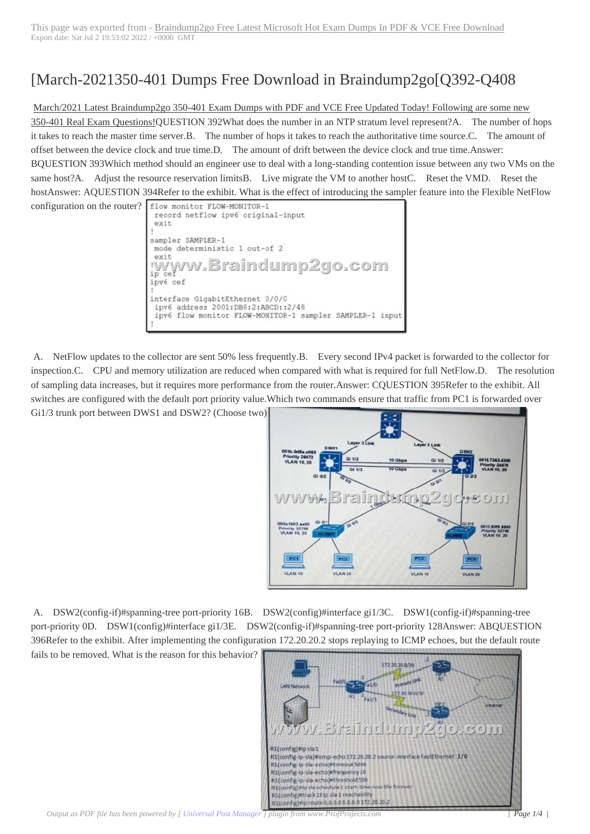## [March-2021350-4[01 Dumps Free Download in Braindump2go\[Q392-Q40](https://www.symantecdumps.com/?p=11866)8

March/2021 Latest Braindump2go 350-401 Exam Dumps with PDF and VCE Free Updated Today! Following are some new

350-401 Real Exam Questions!QUESTION 392What does the number in an NTP stratum level represent?A. The number of hops it takes to reach the master time server.B. The number of hops it takes to reach the authoritative time source.C. The amount of offset between the device clock and true time.D. The amount of drift between the device clock and true time.Answer: BQUESTION 393Which method should an engineer use to deal with a long-standing contention issue between any two VMs on the same host?A. Adjust the resource reservation limitsB. Live migrate the VM to another hostC. Reset the VMD. Reset the hostAnswer: AQUESTION 394Refer to the exhibit. What is the effect of introducing the sampler feature into the Flexible NetFlow

configuration on the router? flow monitor FLOW-MONITOR-1 record netflow ipv6 original-input exit sampler SAMPLER-1 mode deterministic 1 out-of 2 exit raindump2go.com N/V  $ce\bar{f}$ ip ipv6 cef interface GigabitEthernet 0/0/0 ipv6 address 2001:DB8:2:ABCD::2/48 ipv6 flow monitor FLOW-MONITOR-1 sampler SAMPLER-1 input

 A. NetFlow updates to the collector are sent 50% less frequently.B. Every second IPv4 packet is forwarded to the collector for inspection.C. CPU and memory utilization are reduced when compared with what is required for full NetFlow.D. The resolution of sampling data increases, but it requires more performance from the router.Answer: CQUESTION 395Refer to the exhibit. All switches are configured with the default port priority value.Which two commands ensure that traffic from PC1 is forwarded over

Gi1/3 trunk port between DWS1 and DSW2? (Choose two)



 A. DSW2(config-if)#spanning-tree port-priority 16B. DSW2(config)#interface gi1/3C. DSW1(config-if)#spanning-tree port-priority 0D. DSW1(config)#interface gi1/3E. DSW2(config-if)#spanning-tree port-priority 128Answer: ABQUESTION 396Refer to the exhibit. After implementing the configuration 172.20.20.2 stops replaying to ICMP echoes, but the default route

fails to be removed. What is the reason for this behavior?

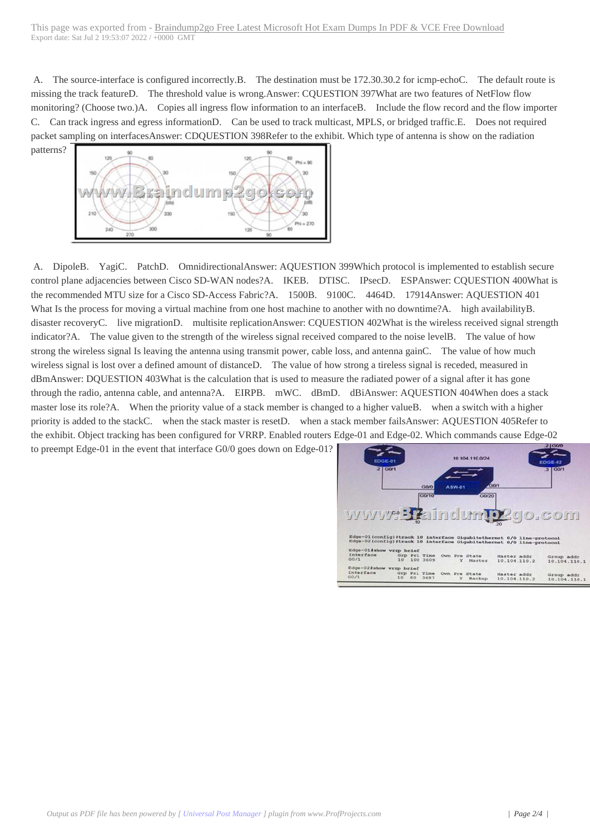A. The source-interface is c[onfigured incorrectly.B. The destination must be 172.30.30.2 for icmp-echoC. The de](https://www.symantecdumps.com/?p=11866)fault route is missing the track featureD. The threshold value is wrong.Answer: CQUESTION 397What are two features of NetFlow flow monitoring? (Choose two.)A. Copies all ingress flow information to an interfaceB. Include the flow record and the flow importer C. Can track ingress and egress informationD. Can be used to track multicast, MPLS, or bridged traffic.E. Does not required packet sampling on interfacesAnswer: CDQUESTION 398Refer to the exhibit. Which type of antenna is show on the radiation



 A. DipoleB. YagiC. PatchD. OmnidirectionalAnswer: AQUESTION 399Which protocol is implemented to establish secure control plane adjacencies between Cisco SD-WAN nodes?A. IKEB. DTISC. IPsecD. ESPAnswer: CQUESTION 400What is the recommended MTU size for a Cisco SD-Access Fabric?A. 1500B. 9100C. 4464D. 17914Answer: AQUESTION 401 What Is the process for moving a virtual machine from one host machine to another with no downtime?A. high availabilityB. disaster recoveryC. live migrationD. multisite replicationAnswer: CQUESTION 402What is the wireless received signal strength indicator?A. The value given to the strength of the wireless signal received compared to the noise levelB. The value of how strong the wireless signal Is leaving the antenna using transmit power, cable loss, and antenna gainC. The value of how much wireless signal is lost over a defined amount of distanceD. The value of how strong a tireless signal is receded, measured in dBmAnswer: DQUESTION 403What is the calculation that is used to measure the radiated power of a signal after it has gone through the radio, antenna cable, and antenna?A. EIRPB. mWC. dBmD. dBiAnswer: AQUESTION 404When does a stack master lose its role?A. When the priority value of a stack member is changed to a higher valueB. when a switch with a higher priority is added to the stackC. when the stack master is resetD. when a stack member failsAnswer: AQUESTION 405Refer to the exhibit. Object tracking has been configured for VRRP. Enabled routers Edge-01 and Edge-02. Which commands cause Edge-02

to preempt Edge-01 in the event that interface G0/0 goes down on Edge-01?

| EDGE-01                                                              |  |              |        | 10 104 110 0/24            |              | <b>EDGE-02</b>        |
|----------------------------------------------------------------------|--|--------------|--------|----------------------------|--------------|-----------------------|
| $2$ GO/1                                                             |  |              |        |                            |              | $3$ GO/1              |
|                                                                      |  |              |        |                            |              |                       |
|                                                                      |  |              |        |                            | GQ/I         |                       |
|                                                                      |  | GQQ          | ASW-01 |                            |              |                       |
|                                                                      |  | <b>GO/10</b> |        | G0/20                      |              |                       |
|                                                                      |  |              |        |                            |              |                       |
|                                                                      |  |              |        |                            |              |                       |
|                                                                      |  |              |        |                            |              |                       |
|                                                                      |  |              |        |                            |              |                       |
|                                                                      |  |              |        |                            |              | www. Taindum p2go.com |
|                                                                      |  |              |        |                            |              |                       |
| Edge-01(config)#track 10 interface Gigabitethernet 0/0 line-protocol |  |              |        |                            |              |                       |
| Edge-02(config)#track 10 interface Gigabitethernet 0/0 line-protocol |  |              |        |                            |              |                       |
| Edge-Olishow wrrp brief                                              |  |              |        |                            |              |                       |
| Interface                                                            |  |              |        | Grp Pri Time Own Pre State | Master addr  | Group addr            |
| GO/I                                                                 |  | 10 100 3609  |        | Y Master                   | 10.104.110.2 | 10.104.110.1          |
|                                                                      |  |              |        |                            |              |                       |
| Edge-02#show wrxp brief<br>Interface                                 |  |              |        | Grp Pri Time Own Pre State | Master addr  | Group addr            |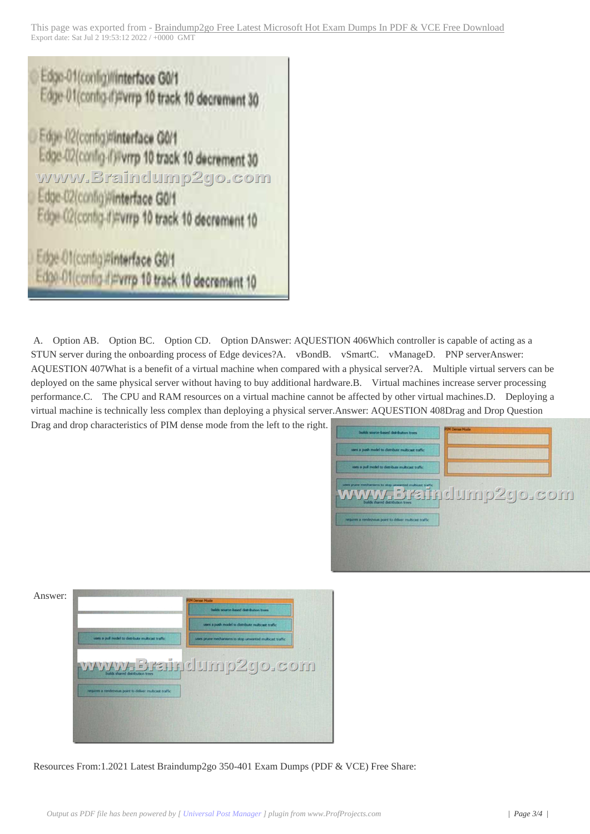

 A. Option AB. Option BC. Option CD. Option DAnswer: AQUESTION 406Which controller is capable of acting as a STUN server during the onboarding process of Edge devices?A. vBondB. vSmartC. vManageD. PNP serverAnswer: AQUESTION 407What is a benefit of a virtual machine when compared with a physical server?A. Multiple virtual servers can be deployed on the same physical server without having to buy additional hardware. B. Virtual machines increase server processing performance.C. The CPU and RAM resources on a virtual machine cannot be affected by other virtual machines.D. Deploying a virtual machine is technically less complex than deploying a physical server.Answer: AQUESTION 408Drag and Drop Question

Drag and drop characteristics of PIM dense mode from the left to the right.



| Answer: |                                                           | <b>Derna Hode</b>                                        |
|---------|-----------------------------------------------------------|----------------------------------------------------------|
|         |                                                           | builds source-based distribution trees.                  |
|         |                                                           | uses a push model to distribute multicast traffic.       |
|         | uses a pull model to detribute multicast traffic.         | uses pruce mechanisms to stop unwanted multicast traffic |
|         |                                                           | www.3 rainclump2go.com                                   |
|         | requires a rendezionas poest to deliver multicast traffic |                                                          |
|         |                                                           |                                                          |
|         |                                                           |                                                          |

Resources From:1.2021 Latest Braindump2go 350-401 Exam Dumps (PDF & VCE) Free Share: